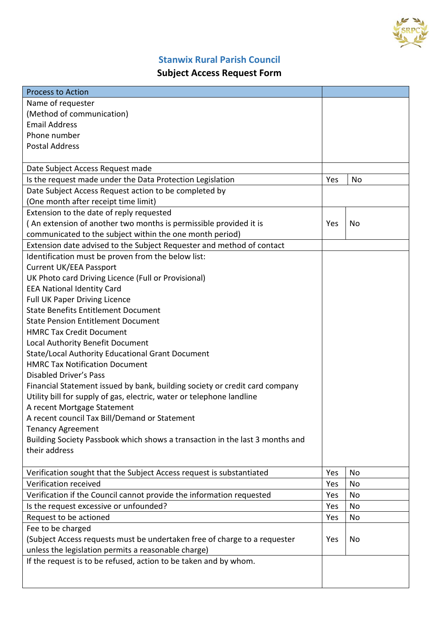

## **Stanwix Rural Parish Council**

## **Subject Access Request Form**

| <b>Process to Action</b>                                                     |     |    |
|------------------------------------------------------------------------------|-----|----|
| Name of requester                                                            |     |    |
| (Method of communication)                                                    |     |    |
| <b>Email Address</b>                                                         |     |    |
| Phone number                                                                 |     |    |
| <b>Postal Address</b>                                                        |     |    |
|                                                                              |     |    |
| Date Subject Access Request made                                             |     |    |
| Is the request made under the Data Protection Legislation                    | Yes | No |
| Date Subject Access Request action to be completed by                        |     |    |
| (One month after receipt time limit)                                         |     |    |
| Extension to the date of reply requested                                     |     |    |
| (An extension of another two months is permissible provided it is            | Yes | No |
| communicated to the subject within the one month period)                     |     |    |
| Extension date advised to the Subject Requester and method of contact        |     |    |
| Identification must be proven from the below list:                           |     |    |
| <b>Current UK/EEA Passport</b>                                               |     |    |
| UK Photo card Driving Licence (Full or Provisional)                          |     |    |
| <b>EEA National Identity Card</b>                                            |     |    |
| <b>Full UK Paper Driving Licence</b>                                         |     |    |
| <b>State Benefits Entitlement Document</b>                                   |     |    |
| <b>State Pension Entitlement Document</b>                                    |     |    |
| <b>HMRC Tax Credit Document</b>                                              |     |    |
| Local Authority Benefit Document                                             |     |    |
| State/Local Authority Educational Grant Document                             |     |    |
| <b>HMRC Tax Notification Document</b>                                        |     |    |
| <b>Disabled Driver's Pass</b>                                                |     |    |
| Financial Statement issued by bank, building society or credit card company  |     |    |
| Utility bill for supply of gas, electric, water or telephone landline        |     |    |
| A recent Mortgage Statement                                                  |     |    |
| A recent council Tax Bill/Demand or Statement                                |     |    |
| <b>Tenancy Agreement</b>                                                     |     |    |
| Building Society Passbook which shows a transaction in the last 3 months and |     |    |
| their address                                                                |     |    |
|                                                                              |     |    |
| Verification sought that the Subject Access request is substantiated         | Yes | No |
| Verification received                                                        | Yes | No |
| Verification if the Council cannot provide the information requested         | Yes | No |
| Is the request excessive or unfounded?                                       | Yes | No |
| Request to be actioned                                                       | Yes | No |
| Fee to be charged                                                            |     |    |
| (Subject Access requests must be undertaken free of charge to a requester    | Yes | No |
| unless the legislation permits a reasonable charge)                          |     |    |
| If the request is to be refused, action to be taken and by whom.             |     |    |
|                                                                              |     |    |
|                                                                              |     |    |